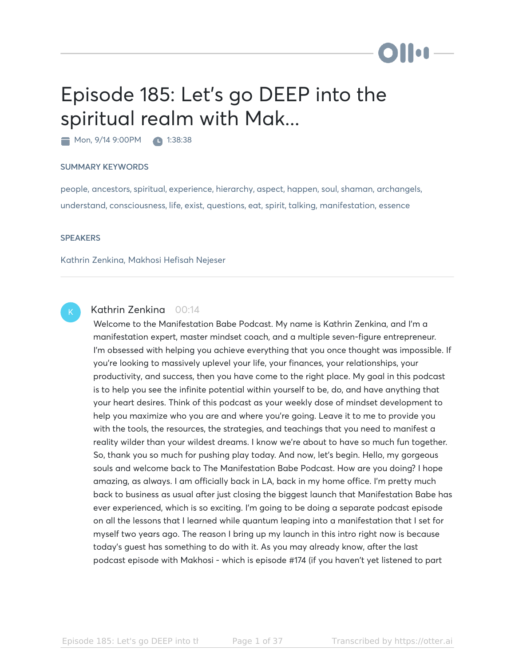# Episode 185: Let's go DEEP into the spiritual realm with Mak...

Mon, 9/14 9:00PM 1:38:38

#### SUMMARY KEYWORDS

people, ancestors, spiritual, experience, hierarchy, aspect, happen, soul, shaman, archangels, understand, consciousness, life, exist, questions, eat, spirit, talking, manifestation, essence

#### **SPEAKERS**

Kathrin Zenkina, Makhosi Hefisah Nejeser

### K

### Kathrin Zenkina 00:14

Welcome to the Manifestation Babe Podcast. My name is Kathrin Zenkina, and I'm a manifestation expert, master mindset coach, and a multiple seven-figure entrepreneur. I'm obsessed with helping you achieve everything that you once thought was impossible. If you're looking to massively uplevel your life, your finances, your relationships, your productivity, and success, then you have come to the right place. My goal in this podcast is to help you see the infinite potential within yourself to be, do, and have anything that your heart desires. Think of this podcast as your weekly dose of mindset development to help you maximize who you are and where you're going. Leave it to me to provide you with the tools, the resources, the strategies, and teachings that you need to manifest a reality wilder than your wildest dreams. I know we're about to have so much fun together. So, thank you so much for pushing play today. And now, let's begin. Hello, my gorgeous souls and welcome back to The Manifestation Babe Podcast. How are you doing? I hope amazing, as always. I am officially back in LA, back in my home office. I'm pretty much back to business as usual after just closing the biggest launch that Manifestation Babe has ever experienced, which is so exciting. I'm going to be doing a separate podcast episode on all the lessons that I learned while quantum leaping into a manifestation that I set for myself two years ago. The reason I bring up my launch in this intro right now is because today's guest has something to do with it. As you may already know, after the last podcast episode with Makhosi - which is episode #174 (if you haven't yet listened to part

**bellet**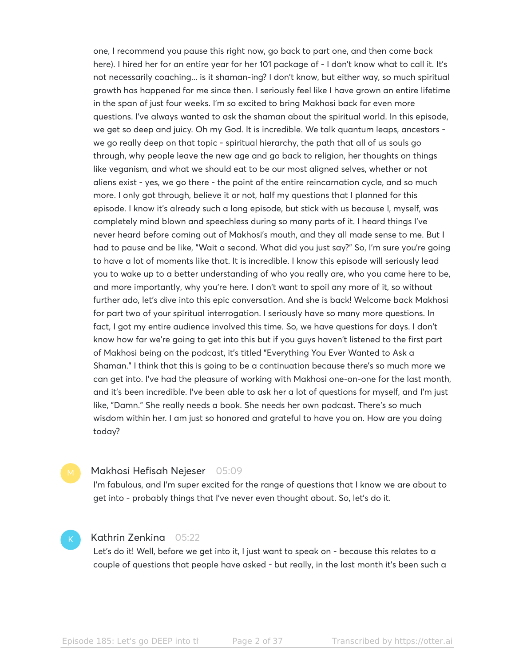one, I recommend you pause this right now, go back to part one, and then come back here). I hired her for an entire year for her 101 package of - I don't know what to call it. It's not necessarily coaching... is it shaman-ing? I don't know, but either way, so much spiritual growth has happened for me since then. I seriously feel like I have grown an entire lifetime in the span of just four weeks. I'm so excited to bring Makhosi back for even more questions. I've always wanted to ask the shaman about the spiritual world. In this episode, we get so deep and juicy. Oh my God. It is incredible. We talk quantum leaps, ancestors we go really deep on that topic - spiritual hierarchy, the path that all of us souls go through, why people leave the new age and go back to religion, her thoughts on things like veganism, and what we should eat to be our most aligned selves, whether or not aliens exist - yes, we go there - the point of the entire reincarnation cycle, and so much more. I only got through, believe it or not, half my questions that I planned for this episode. I know it's already such a long episode, but stick with us because I, myself, was completely mind blown and speechless during so many parts of it. I heard things I've never heard before coming out of Makhosi's mouth, and they all made sense to me. But I had to pause and be like, "Wait a second. What did you just say?" So, I'm sure you're going to have a lot of moments like that. It is incredible. I know this episode will seriously lead you to wake up to a better understanding of who you really are, who you came here to be, and more importantly, why you're here. I don't want to spoil any more of it, so without further ado, let's dive into this epic conversation. And she is back! Welcome back Makhosi for part two of your spiritual interrogation. I seriously have so many more questions. In fact, I got my entire audience involved this time. So, we have questions for days. I don't know how far we're going to get into this but if you guys haven't listened to the first part of Makhosi being on the podcast, it's titled "Everything You Ever Wanted to Ask a Shaman." I think that this is going to be a continuation because there's so much more we can get into. I've had the pleasure of working with Makhosi one-on-one for the last month, and it's been incredible. I've been able to ask her a lot of questions for myself, and I'm just like, "Damn." She really needs a book. She needs her own podcast. There's so much wisdom within her. I am just so honored and grateful to have you on. How are you doing today?

#### Makhosi Hefisah Nejeser 05:09

I'm fabulous, and I'm super excited for the range of questions that I know we are about to get into - probably things that I've never even thought about. So, let's do it.

#### Kathrin Zenkina 05:22

Let's do it! Well, before we get into it, I just want to speak on - because this relates to a couple of questions that people have asked - but really, in the last month it's been such a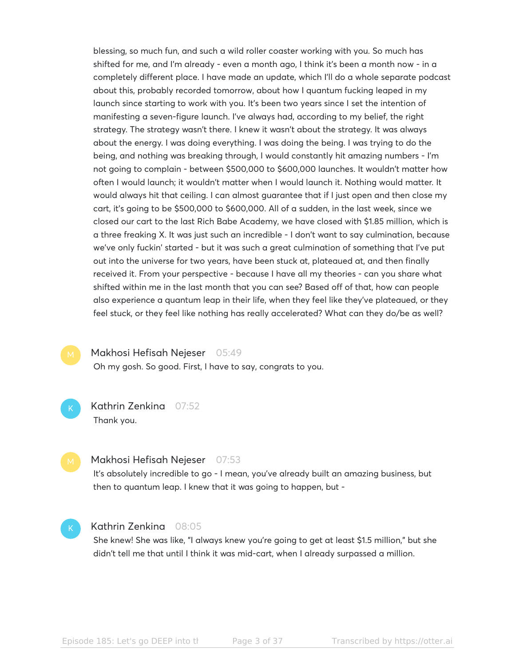blessing, so much fun, and such a wild roller coaster working with you. So much has shifted for me, and I'm already - even a month ago, I think it's been a month now - in a completely different place. I have made an update, which I'll do a whole separate podcast about this, probably recorded tomorrow, about how I quantum fucking leaped in my launch since starting to work with you. It's been two years since I set the intention of manifesting a seven-figure launch. I've always had, according to my belief, the right strategy. The strategy wasn't there. I knew it wasn't about the strategy. It was always about the energy. I was doing everything. I was doing the being. I was trying to do the being, and nothing was breaking through, I would constantly hit amazing numbers - I'm not going to complain - between \$500,000 to \$600,000 launches. It wouldn't matter how often I would launch; it wouldn't matter when I would launch it. Nothing would matter. It would always hit that ceiling. I can almost guarantee that if I just open and then close my cart, it's going to be \$500,000 to \$600,000. All of a sudden, in the last week, since we closed our cart to the last Rich Babe Academy, we have closed with \$1.85 million, which is a three freaking X. It was just such an incredible - I don't want to say culmination, because we've only fuckin' started - but it was such a great culmination of something that I've put out into the universe for two years, have been stuck at, plateaued at, and then finally received it. From your perspective - because I have all my theories - can you share what shifted within me in the last month that you can see? Based off of that, how can people also experience a quantum leap in their life, when they feel like they've plateaued, or they feel stuck, or they feel like nothing has really accelerated? What can they do/be as well?

K

#### Makhosi Hefisah Nejeser 05:49

Oh my gosh. So good. First, I have to say, congrats to you.

Kathrin Zenkina 07:52 Thank you.

#### Makhosi Hefisah Nejeser 07:53

It's absolutely incredible to go - I mean, you've already built an amazing business, but then to quantum leap. I knew that it was going to happen, but -

#### Kathrin Zenkina 08:05

She knew! She was like, "I always knew you're going to get at least \$1.5 million," but she didn't tell me that until I think it was mid-cart, when I already surpassed a million.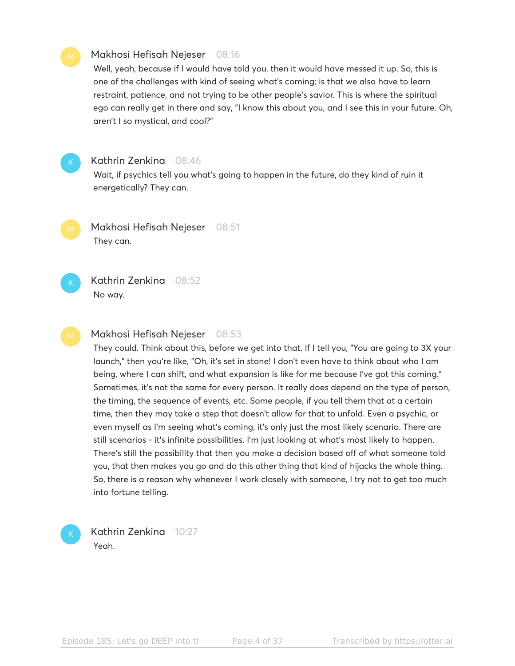#### Makhosi Hefisah Nejeser 08:16

Well, yeah, because if I would have told you, then it would have messed it up. So, this is one of the challenges with kind of seeing what's coming; is that we also have to learn restraint, patience, and not trying to be other people's savior. This is where the spiritual ego can really get in there and say, "I know this about you, and I see this in your future. Oh, aren't I so mystical, and cool?"



K

K

#### Kathrin Zenkina 08:46

Wait, if psychics tell you what's going to happen in the future, do they kind of ruin it energetically? They can.

Makhosi Hefisah Nejeser 08:51 They can.

Kathrin Zenkina 08:52 No way.

#### Makhosi Hefisah Nejeser 08:53

They could. Think about this, before we get into that. If I tell you, "You are going to 3X your launch," then you're like, "Oh, it's set in stone! I don't even have to think about who I am being, where I can shift, and what expansion is like for me because I've got this coming." Sometimes, it's not the same for every person. It really does depend on the type of person, the timing, the sequence of events, etc. Some people, if you tell them that at a certain time, then they may take a step that doesn't allow for that to unfold. Even a psychic, or even myself as I'm seeing what's coming, it's only just the most likely scenario. There are still scenarios - it's infinite possibilities. I'm just looking at what's most likely to happen. There's still the possibility that then you make a decision based off of what someone told you, that then makes you go and do this other thing that kind of hijacks the whole thing. So, there is a reason why whenever I work closely with someone, I try not to get too much into fortune telling.

Kathrin Zenkina 10:27 Yeah.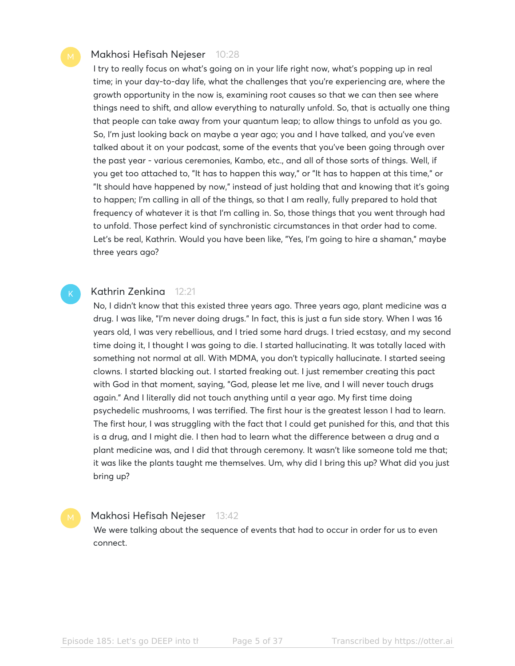#### Makhosi Hefisah Nejeser 10:28

I try to really focus on what's going on in your life right now, what's popping up in real time; in your day-to-day life, what the challenges that you're experiencing are, where the growth opportunity in the now is, examining root causes so that we can then see where things need to shift, and allow everything to naturally unfold. So, that is actually one thing that people can take away from your quantum leap; to allow things to unfold as you go. So, I'm just looking back on maybe a year ago; you and I have talked, and you've even talked about it on your podcast, some of the events that you've been going through over the past year - various ceremonies, Kambo, etc., and all of those sorts of things. Well, if you get too attached to, "It has to happen this way," or "It has to happen at this time," or "It should have happened by now," instead of just holding that and knowing that it's going to happen; I'm calling in all of the things, so that I am really, fully prepared to hold that frequency of whatever it is that I'm calling in. So, those things that you went through had to unfold. Those perfect kind of synchronistic circumstances in that order had to come. Let's be real, Kathrin. Would you have been like, "Yes, I'm going to hire a shaman," maybe three years ago?

#### Kathrin Zenkina 12:21

K

No, I didn't know that this existed three years ago. Three years ago, plant medicine was a drug. I was like, "I'm never doing drugs." In fact, this is just a fun side story. When I was 16 years old, I was very rebellious, and I tried some hard drugs. I tried ecstasy, and my second time doing it, I thought I was going to die. I started hallucinating. It was totally laced with something not normal at all. With MDMA, you don't typically hallucinate. I started seeing clowns. I started blacking out. I started freaking out. I just remember creating this pact with God in that moment, saying, "God, please let me live, and I will never touch drugs again." And I literally did not touch anything until a year ago. My first time doing psychedelic mushrooms, I was terrified. The first hour is the greatest lesson I had to learn. The first hour, I was struggling with the fact that I could get punished for this, and that this is a drug, and I might die. I then had to learn what the difference between a drug and a plant medicine was, and I did that through ceremony. It wasn't like someone told me that; it was like the plants taught me themselves. Um, why did I bring this up? What did you just bring up?

#### Makhosi Hefisah Nejeser 13:42

We were talking about the sequence of events that had to occur in order for us to even connect.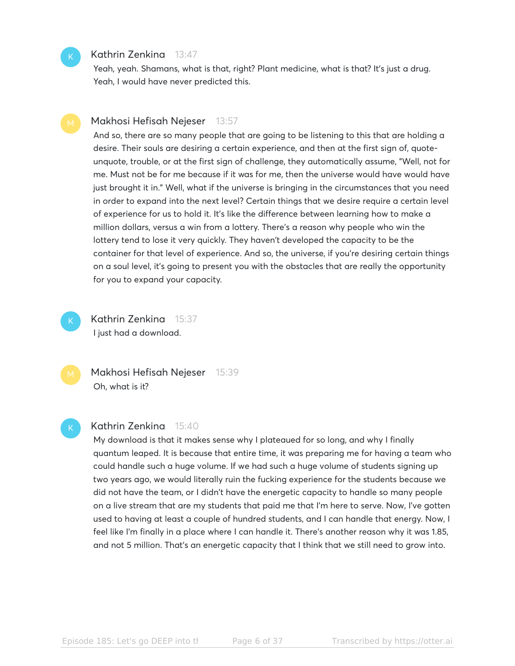#### Kathrin Zenkina 13:47

Yeah, yeah. Shamans, what is that, right? Plant medicine, what is that? It's just a drug. Yeah, I would have never predicted this.

#### Makhosi Hefisah Nejeser 13:57

And so, there are so many people that are going to be listening to this that are holding a desire. Their souls are desiring a certain experience, and then at the first sign of, quoteunquote, trouble, or at the first sign of challenge, they automatically assume, "Well, not for me. Must not be for me because if it was for me, then the universe would have would have just brought it in." Well, what if the universe is bringing in the circumstances that you need in order to expand into the next level? Certain things that we desire require a certain level of experience for us to hold it. It's like the difference between learning how to make a million dollars, versus a win from a lottery. There's a reason why people who win the lottery tend to lose it very quickly. They haven't developed the capacity to be the container for that level of experience. And so, the universe, if you're desiring certain things on a soul level, it's going to present you with the obstacles that are really the opportunity for you to expand your capacity.

K

K

Kathrin Zenkina 15:37 I just had a download.



#### Kathrin Zenkina 15:40

My download is that it makes sense why I plateaued for so long, and why I finally quantum leaped. It is because that entire time, it was preparing me for having a team who could handle such a huge volume. If we had such a huge volume of students signing up two years ago, we would literally ruin the fucking experience for the students because we did not have the team, or I didn't have the energetic capacity to handle so many people on a live stream that are my students that paid me that I'm here to serve. Now, I've gotten used to having at least a couple of hundred students, and I can handle that energy. Now, I feel like I'm finally in a place where I can handle it. There's another reason why it was 1.85, and not 5 million. That's an energetic capacity that I think that we still need to grow into.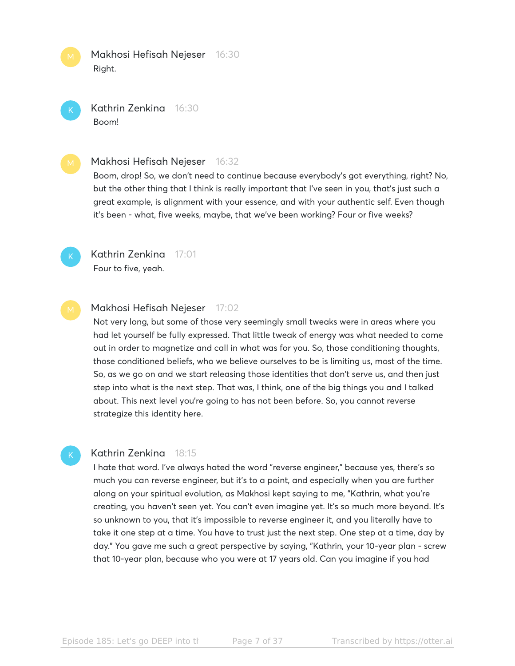Makhosi Hefisah Nejeser 16:30 Right.



Kathrin Zenkina 16:30 Boom!

#### Makhosi Hefisah Nejeser 16:32

Boom, drop! So, we don't need to continue because everybody's got everything, right? No, but the other thing that I think is really important that I've seen in you, that's just such a great example, is alignment with your essence, and with your authentic self. Even though it's been - what, five weeks, maybe, that we've been working? Four or five weeks?



K

Kathrin Zenkina 17:01 Four to five, yeah.

#### Makhosi Hefisah Nejeser 17:02

Not very long, but some of those very seemingly small tweaks were in areas where you had let yourself be fully expressed. That little tweak of energy was what needed to come out in order to magnetize and call in what was for you. So, those conditioning thoughts, those conditioned beliefs, who we believe ourselves to be is limiting us, most of the time. So, as we go on and we start releasing those identities that don't serve us, and then just step into what is the next step. That was, I think, one of the big things you and I talked about. This next level you're going to has not been before. So, you cannot reverse strategize this identity here.

#### Kathrin Zenkina 18:15

I hate that word. I've always hated the word "reverse engineer," because yes, there's so much you can reverse engineer, but it's to a point, and especially when you are further along on your spiritual evolution, as Makhosi kept saying to me, "Kathrin, what you're creating, you haven't seen yet. You can't even imagine yet. It's so much more beyond. It's so unknown to you, that it's impossible to reverse engineer it, and you literally have to take it one step at a time. You have to trust just the next step. One step at a time, day by day." You gave me such a great perspective by saying, "Kathrin, your 10-year plan - screw that 10-year plan, because who you were at 17 years old. Can you imagine if you had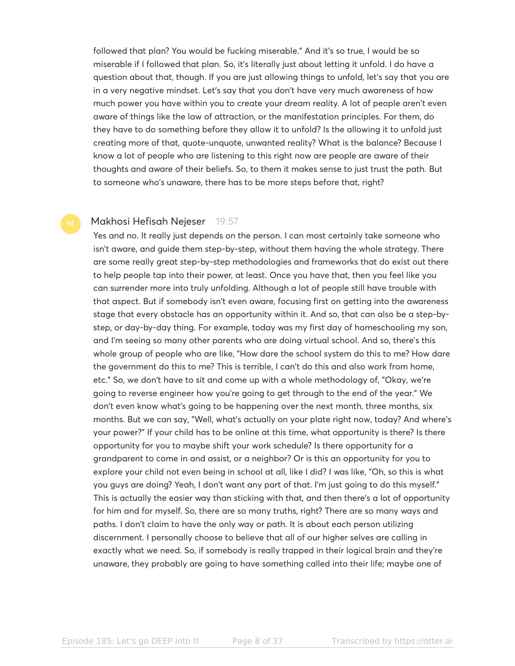followed that plan? You would be fucking miserable." And it's so true, I would be so miserable if I followed that plan. So, it's literally just about letting it unfold. I do have a question about that, though. If you are just allowing things to unfold, let's say that you are in a very negative mindset. Let's say that you don't have very much awareness of how much power you have within you to create your dream reality. A lot of people aren't even aware of things like the law of attraction, or the manifestation principles. For them, do they have to do something before they allow it to unfold? Is the allowing it to unfold just creating more of that, quote-unquote, unwanted reality? What is the balance? Because I know a lot of people who are listening to this right now are people are aware of their thoughts and aware of their beliefs. So, to them it makes sense to just trust the path. But to someone who's unaware, there has to be more steps before that, right?

#### Makhosi Hefisah Nejeser 19:57

Yes and no. It really just depends on the person. I can most certainly take someone who isn't aware, and guide them step-by-step, without them having the whole strategy. There are some really great step-by-step methodologies and frameworks that do exist out there to help people tap into their power, at least. Once you have that, then you feel like you can surrender more into truly unfolding. Although a lot of people still have trouble with that aspect. But if somebody isn't even aware, focusing first on getting into the awareness stage that every obstacle has an opportunity within it. And so, that can also be a step-bystep, or day-by-day thing. For example, today was my first day of homeschooling my son, and I'm seeing so many other parents who are doing virtual school. And so, there's this whole group of people who are like, "How dare the school system do this to me? How dare the government do this to me? This is terrible, I can't do this and also work from home, etc." So, we don't have to sit and come up with a whole methodology of, "Okay, we're going to reverse engineer how you're going to get through to the end of the year." We don't even know what's going to be happening over the next month, three months, six months. But we can say, "Well, what's actually on your plate right now, today? And where's your power?" If your child has to be online at this time, what opportunity is there? Is there opportunity for you to maybe shift your work schedule? Is there opportunity for a grandparent to come in and assist, or a neighbor? Or is this an opportunity for you to explore your child not even being in school at all, like I did? I was like, "Oh, so this is what you guys are doing? Yeah, I don't want any part of that. I'm just going to do this myself." This is actually the easier way than sticking with that, and then there's a lot of opportunity for him and for myself. So, there are so many truths, right? There are so many ways and paths. I don't claim to have the only way or path. It is about each person utilizing discernment. I personally choose to believe that all of our higher selves are calling in exactly what we need. So, if somebody is really trapped in their logical brain and they're unaware, they probably are going to have something called into their life; maybe one of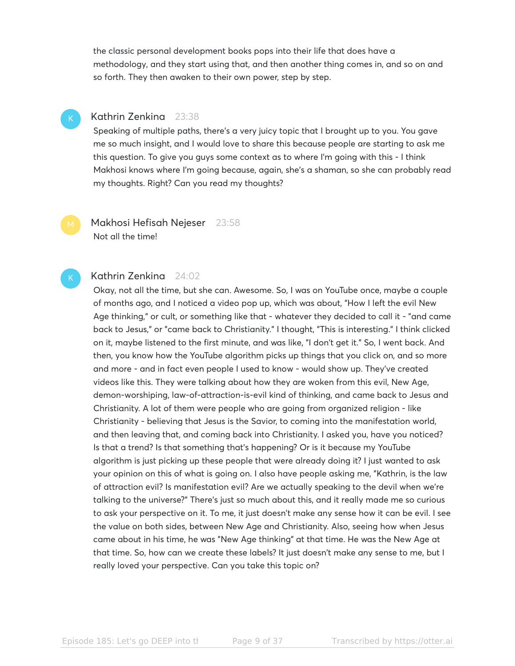the classic personal development books pops into their life that does have a methodology, and they start using that, and then another thing comes in, and so on and so forth. They then awaken to their own power, step by step.

### K

#### Kathrin Zenkina 23:38

Speaking of multiple paths, there's a very juicy topic that I brought up to you. You gave me so much insight, and I would love to share this because people are starting to ask me this question. To give you guys some context as to where I'm going with this - I think Makhosi knows where I'm going because, again, she's a shaman, so she can probably read my thoughts. Right? Can you read my thoughts?

Makhosi Hefisah Nejeser 23:58 Not all the time!

#### Kathrin Zenkina 24:02

Okay, not all the time, but she can. Awesome. So, I was on YouTube once, maybe a couple of months ago, and I noticed a video pop up, which was about, "How I left the evil New Age thinking," or cult, or something like that - whatever they decided to call it - "and came back to Jesus," or "came back to Christianity." I thought, "This is interesting." I think clicked on it, maybe listened to the first minute, and was like, "I don't get it." So, I went back. And then, you know how the YouTube algorithm picks up things that you click on, and so more and more - and in fact even people I used to know - would show up. They've created videos like this. They were talking about how they are woken from this evil, New Age, demon-worshiping, law-of-attraction-is-evil kind of thinking, and came back to Jesus and Christianity. A lot of them were people who are going from organized religion - like Christianity - believing that Jesus is the Savior, to coming into the manifestation world, and then leaving that, and coming back into Christianity. I asked you, have you noticed? Is that a trend? Is that something that's happening? Or is it because my YouTube algorithm is just picking up these people that were already doing it? I just wanted to ask your opinion on this of what is going on. I also have people asking me, "Kathrin, is the law of attraction evil? Is manifestation evil? Are we actually speaking to the devil when we're talking to the universe?" There's just so much about this, and it really made me so curious to ask your perspective on it. To me, it just doesn't make any sense how it can be evil. I see the value on both sides, between New Age and Christianity. Also, seeing how when Jesus came about in his time, he was "New Age thinking" at that time. He was the New Age at that time. So, how can we create these labels? It just doesn't make any sense to me, but I really loved your perspective. Can you take this topic on?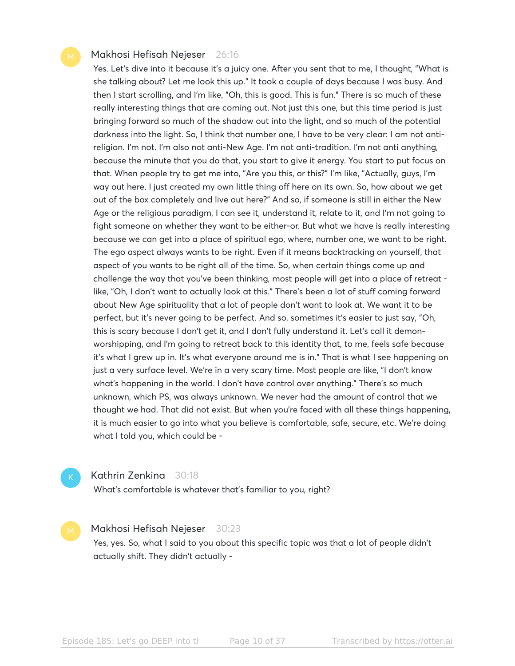#### Makhosi Hefisah Nejeser 26:16

Yes. Let's dive into it because it's a juicy one. After you sent that to me, I thought, "What is she talking about? Let me look this up." It took a couple of days because I was busy. And then I start scrolling, and I'm like, "Oh, this is good. This is fun." There is so much of these really interesting things that are coming out. Not just this one, but this time period is just bringing forward so much of the shadow out into the light, and so much of the potential darkness into the light. So, I think that number one, I have to be very clear: I am not antireligion. I'm not. I'm also not anti-New Age. I'm not anti-tradition. I'm not anti anything, because the minute that you do that, you start to give it energy. You start to put focus on that. When people try to get me into, "Are you this, or this?" I'm like, "Actually, guys, I'm way out here. I just created my own little thing off here on its own. So, how about we get out of the box completely and live out here?" And so, if someone is still in either the New Age or the religious paradigm, I can see it, understand it, relate to it, and I'm not going to fight someone on whether they want to be either-or. But what we have is really interesting because we can get into a place of spiritual ego, where, number one, we want to be right. The ego aspect always wants to be right. Even if it means backtracking on yourself, that aspect of you wants to be right all of the time. So, when certain things come up and challenge the way that you've been thinking, most people will get into a place of retreat like, "Oh, I don't want to actually look at this." There's been a lot of stuff coming forward about New Age spirituality that a lot of people don't want to look at. We want it to be perfect, but it's never going to be perfect. And so, sometimes it's easier to just say, "Oh, this is scary because I don't get it, and I don't fully understand it. Let's call it demonworshipping, and I'm going to retreat back to this identity that, to me, feels safe because it's what I grew up in. It's what everyone around me is in." That is what I see happening on just a very surface level. We're in a very scary time. Most people are like, "I don't know what's happening in the world. I don't have control over anything." There's so much unknown, which PS, was always unknown. We never had the amount of control that we thought we had. That did not exist. But when you're faced with all these things happening, it is much easier to go into what you believe is comfortable, safe, secure, etc. We're doing what I told you, which could be -

K

#### Kathrin Zenkina 30:18

What's comfortable is whatever that's familiar to you, right?

#### Makhosi Hefisah Nejeser 30:23

Yes, yes. So, what I said to you about this specific topic was that a lot of people didn't actually shift. They didn't actually -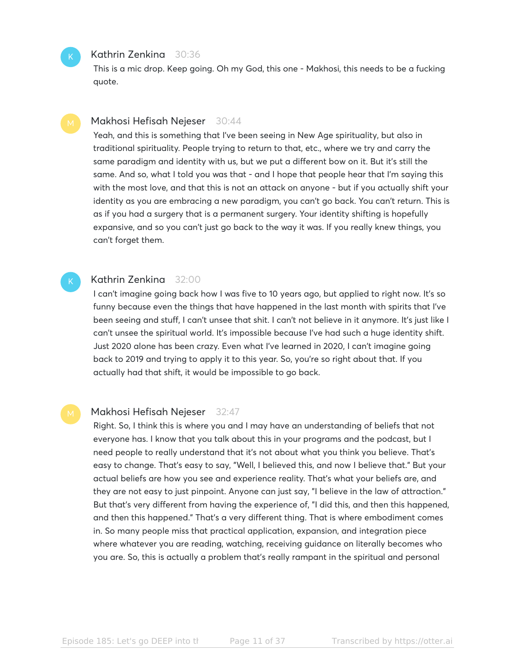#### Kathrin Zenkina 30:36

K

This is a mic drop. Keep going. Oh my God, this one - Makhosi, this needs to be a fucking quote.

#### Makhosi Hefisah Nejeser 30:44

Yeah, and this is something that I've been seeing in New Age spirituality, but also in traditional spirituality. People trying to return to that, etc., where we try and carry the same paradigm and identity with us, but we put a different bow on it. But it's still the same. And so, what I told you was that - and I hope that people hear that I'm saying this with the most love, and that this is not an attack on anyone - but if you actually shift your identity as you are embracing a new paradigm, you can't go back. You can't return. This is as if you had a surgery that is a permanent surgery. Your identity shifting is hopefully expansive, and so you can't just go back to the way it was. If you really knew things, you can't forget them.

#### Kathrin Zenkina 32:00

I can't imagine going back how I was five to 10 years ago, but applied to right now. It's so funny because even the things that have happened in the last month with spirits that I've been seeing and stuff, I can't unsee that shit. I can't not believe in it anymore. It's just like I can't unsee the spiritual world. It's impossible because I've had such a huge identity shift. Just 2020 alone has been crazy. Even what I've learned in 2020, I can't imagine going back to 2019 and trying to apply it to this year. So, you're so right about that. If you actually had that shift, it would be impossible to go back.

#### Makhosi Hefisah Nejeser 32:47

Right. So, I think this is where you and I may have an understanding of beliefs that not everyone has. I know that you talk about this in your programs and the podcast, but I need people to really understand that it's not about what you think you believe. That's easy to change. That's easy to say, "Well, I believed this, and now I believe that." But your actual beliefs are how you see and experience reality. That's what your beliefs are, and they are not easy to just pinpoint. Anyone can just say, "I believe in the law of attraction." But that's very different from having the experience of, "I did this, and then this happened, and then this happened." That's a very different thing. That is where embodiment comes in. So many people miss that practical application, expansion, and integration piece where whatever you are reading, watching, receiving guidance on literally becomes who you are. So, this is actually a problem that's really rampant in the spiritual and personal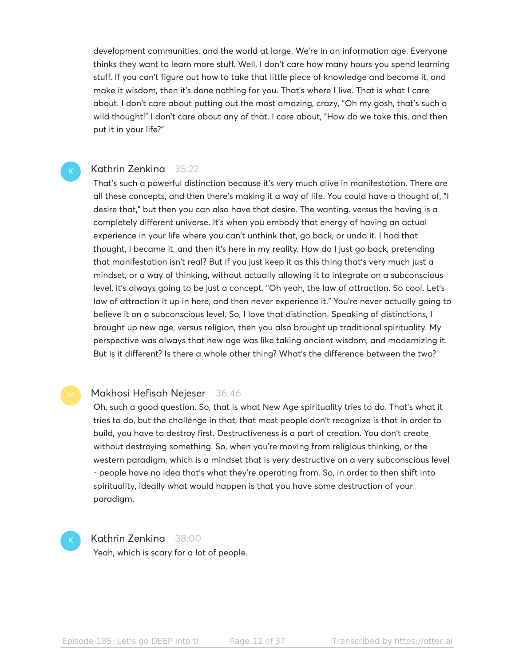development communities, and the world at large. We're in an information age. Everyone thinks they want to learn more stuff. Well, I don't care how many hours you spend learning stuff. If you can't figure out how to take that little piece of knowledge and become it, and make it wisdom, then it's done nothing for you. That's where I live. That is what I care about. I don't care about putting out the most amazing, crazy, "Oh my gosh, that's such a wild thought!" I don't care about any of that. I care about, "How do we take this, and then put it in your life?"

#### Kathrin Zenkina 35:22

K

That's such a powerful distinction because it's very much alive in manifestation. There are all these concepts, and then there's making it a way of life. You could have a thought of, "I desire that," but then you can also have that desire. The wanting, versus the having is a completely different universe. It's when you embody that energy of having an actual experience in your life where you can't unthink that, go back, or undo it. I had that thought, I became it, and then it's here in my reality. How do I just go back, pretending that manifestation isn't real? But if you just keep it as this thing that's very much just a mindset, or a way of thinking, without actually allowing it to integrate on a subconscious level, it's always going to be just a concept. "Oh yeah, the law of attraction. So cool. Let's law of attraction it up in here, and then never experience it." You're never actually going to believe it on a subconscious level. So, I love that distinction. Speaking of distinctions, I brought up new age, versus religion, then you also brought up traditional spirituality. My perspective was always that new age was like taking ancient wisdom, and modernizing it. But is it different? Is there a whole other thing? What's the difference between the two?

#### Makhosi Hefisah Nejeser 36:46

Oh, such a good question. So, that is what New Age spirituality tries to do. That's what it tries to do, but the challenge in that, that most people don't recognize is that in order to build, you have to destroy first. Destructiveness is a part of creation. You don't create without destroying something. So, when you're moving from religious thinking, or the western paradigm, which is a mindset that is very destructive on a very subconscious level - people have no idea that's what they're operating from. So, in order to then shift into spirituality, ideally what would happen is that you have some destruction of your paradigm.

#### K

#### Kathrin Zenkina 38:00

Yeah, which is scary for a lot of people.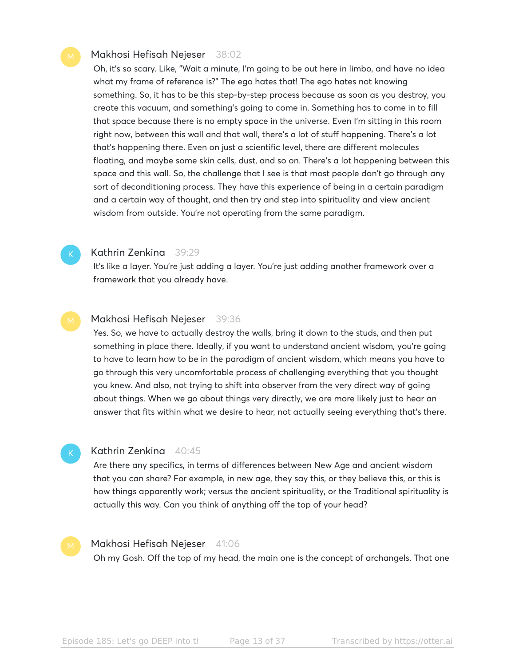#### Makhosi Hefisah Nejeser 38:02

Oh, it's so scary. Like, "Wait a minute, I'm going to be out here in limbo, and have no idea what my frame of reference is?" The ego hates that! The ego hates not knowing something. So, it has to be this step-by-step process because as soon as you destroy, you create this vacuum, and something's going to come in. Something has to come in to fill that space because there is no empty space in the universe. Even I'm sitting in this room right now, between this wall and that wall, there's a lot of stuff happening. There's a lot that's happening there. Even on just a scientific level, there are different molecules floating, and maybe some skin cells, dust, and so on. There's a lot happening between this space and this wall. So, the challenge that I see is that most people don't go through any sort of deconditioning process. They have this experience of being in a certain paradigm and a certain way of thought, and then try and step into spirituality and view ancient wisdom from outside. You're not operating from the same paradigm.

#### Kathrin Zenkina 39:29

It's like a layer. You're just adding a layer. You're just adding another framework over a framework that you already have.

#### Makhosi Hefisah Nejeser 39:36

Yes. So, we have to actually destroy the walls, bring it down to the studs, and then put something in place there. Ideally, if you want to understand ancient wisdom, you're going to have to learn how to be in the paradigm of ancient wisdom, which means you have to go through this very uncomfortable process of challenging everything that you thought you knew. And also, not trying to shift into observer from the very direct way of going about things. When we go about things very directly, we are more likely just to hear an answer that fits within what we desire to hear, not actually seeing everything that's there.

#### K

#### Kathrin Zenkina 40:45

Are there any specifics, in terms of differences between New Age and ancient wisdom that you can share? For example, in new age, they say this, or they believe this, or this is how things apparently work; versus the ancient spirituality, or the Traditional spirituality is actually this way. Can you think of anything off the top of your head?

#### Makhosi Hefisah Nejeser 41:06

Oh my Gosh. Off the top of my head, the main one is the concept of archangels. That one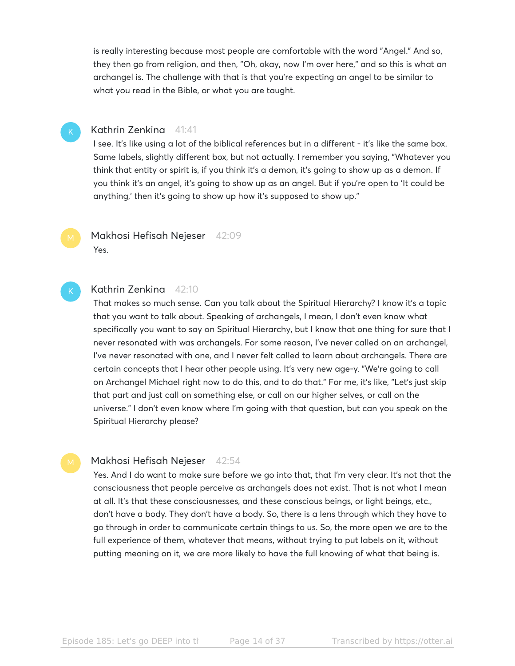is really interesting because most people are comfortable with the word "Angel." And so, they then go from religion, and then, "Oh, okay, now I'm over here," and so this is what an archangel is. The challenge with that is that you're expecting an angel to be similar to what you read in the Bible, or what you are taught.

#### K

K

#### Kathrin Zenkina 41:41

I see. It's like using a lot of the biblical references but in a different - it's like the same box. Same labels, slightly different box, but not actually. I remember you saying, "Whatever you think that entity or spirit is, if you think it's a demon, it's going to show up as a demon. If you think it's an angel, it's going to show up as an angel. But if you're open to 'It could be anything,' then it's going to show up how it's supposed to show up."

Makhosi Hefisah Nejeser 42:09 Yes.

#### Kathrin Zenkina 42:10

That makes so much sense. Can you talk about the Spiritual Hierarchy? I know it's a topic that you want to talk about. Speaking of archangels, I mean, I don't even know what specifically you want to say on Spiritual Hierarchy, but I know that one thing for sure that I never resonated with was archangels. For some reason, I've never called on an archangel, I've never resonated with one, and I never felt called to learn about archangels. There are certain concepts that I hear other people using. It's very new age-y. "We're going to call on Archangel Michael right now to do this, and to do that." For me, it's like, "Let's just skip that part and just call on something else, or call on our higher selves, or call on the universe." I don't even know where I'm going with that question, but can you speak on the Spiritual Hierarchy please?

#### Makhosi Hefisah Nejeser 42:54

Yes. And I do want to make sure before we go into that, that I'm very clear. It's not that the consciousness that people perceive as archangels does not exist. That is not what I mean at all. It's that these consciousnesses, and these conscious beings, or light beings, etc., don't have a body. They don't have a body. So, there is a lens through which they have to go through in order to communicate certain things to us. So, the more open we are to the full experience of them, whatever that means, without trying to put labels on it, without putting meaning on it, we are more likely to have the full knowing of what that being is.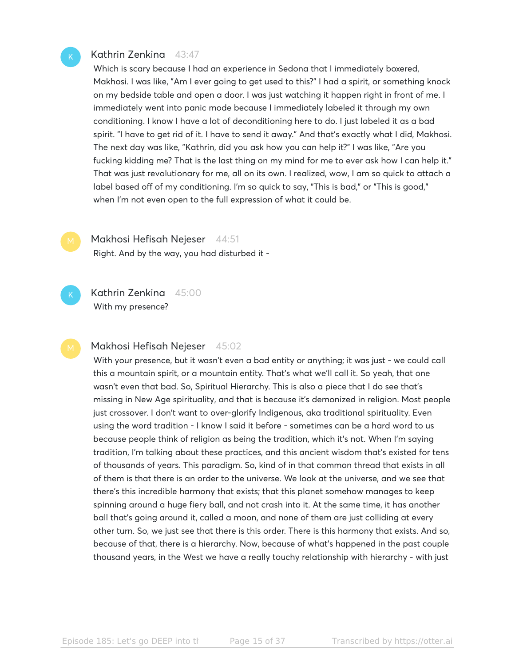#### Kathrin Zenkina 43:47

Which is scary because I had an experience in Sedona that I immediately boxered, Makhosi. I was like, "Am I ever going to get used to this?" I had a spirit, or something knock on my bedside table and open a door. I was just watching it happen right in front of me. I immediately went into panic mode because I immediately labeled it through my own conditioning. I know I have a lot of deconditioning here to do. I just labeled it as a bad spirit. "I have to get rid of it. I have to send it away." And that's exactly what I did, Makhosi. The next day was like, "Kathrin, did you ask how you can help it?" I was like, "Are you fucking kidding me? That is the last thing on my mind for me to ever ask how I can help it." That was just revolutionary for me, all on its own. I realized, wow, I am so quick to attach a label based off of my conditioning. I'm so quick to say, "This is bad," or "This is good," when I'm not even open to the full expression of what it could be.

Makhosi Hefisah Nejeser 44:51

Right. And by the way, you had disturbed it -

Kathrin Zenkina 45:00 With my presence?

#### Makhosi Hefisah Nejeser 45:02

With your presence, but it wasn't even a bad entity or anything; it was just - we could call this a mountain spirit, or a mountain entity. That's what we'll call it. So yeah, that one wasn't even that bad. So, Spiritual Hierarchy. This is also a piece that I do see that's missing in New Age spirituality, and that is because it's demonized in religion. Most people just crossover. I don't want to over-glorify Indigenous, aka traditional spirituality. Even using the word tradition - I know I said it before - sometimes can be a hard word to us because people think of religion as being the tradition, which it's not. When I'm saying tradition, I'm talking about these practices, and this ancient wisdom that's existed for tens of thousands of years. This paradigm. So, kind of in that common thread that exists in all of them is that there is an order to the universe. We look at the universe, and we see that there's this incredible harmony that exists; that this planet somehow manages to keep spinning around a huge fiery ball, and not crash into it. At the same time, it has another ball that's going around it, called a moon, and none of them are just colliding at every other turn. So, we just see that there is this order. There is this harmony that exists. And so, because of that, there is a hierarchy. Now, because of what's happened in the past couple thousand years, in the West we have a really touchy relationship with hierarchy - with just

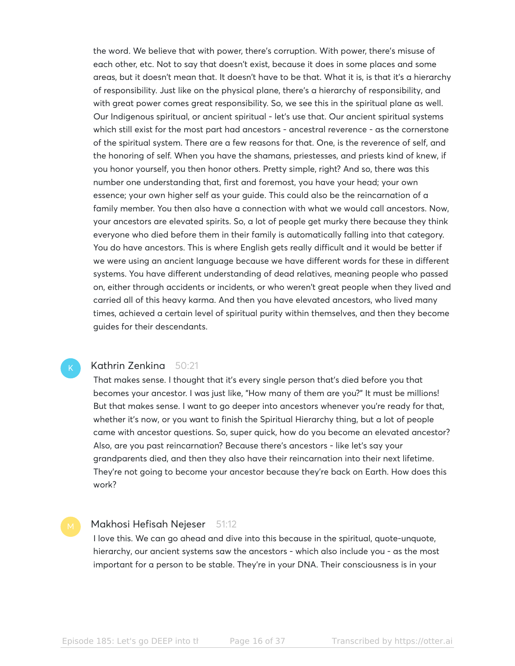the word. We believe that with power, there's corruption. With power, there's misuse of each other, etc. Not to say that doesn't exist, because it does in some places and some areas, but it doesn't mean that. It doesn't have to be that. What it is, is that it's a hierarchy of responsibility. Just like on the physical plane, there's a hierarchy of responsibility, and with great power comes great responsibility. So, we see this in the spiritual plane as well. Our Indigenous spiritual, or ancient spiritual - let's use that. Our ancient spiritual systems which still exist for the most part had ancestors - ancestral reverence - as the cornerstone of the spiritual system. There are a few reasons for that. One, is the reverence of self, and the honoring of self. When you have the shamans, priestesses, and priests kind of knew, if you honor yourself, you then honor others. Pretty simple, right? And so, there was this number one understanding that, first and foremost, you have your head; your own essence; your own higher self as your guide. This could also be the reincarnation of a family member. You then also have a connection with what we would call ancestors. Now, your ancestors are elevated spirits. So, a lot of people get murky there because they think everyone who died before them in their family is automatically falling into that category. You do have ancestors. This is where English gets really difficult and it would be better if we were using an ancient language because we have different words for these in different systems. You have different understanding of dead relatives, meaning people who passed on, either through accidents or incidents, or who weren't great people when they lived and carried all of this heavy karma. And then you have elevated ancestors, who lived many times, achieved a certain level of spiritual purity within themselves, and then they become guides for their descendants.

#### Kathrin Zenkina 50:21

That makes sense. I thought that it's every single person that's died before you that becomes your ancestor. I was just like, "How many of them are you?" It must be millions! But that makes sense. I want to go deeper into ancestors whenever you're ready for that, whether it's now, or you want to finish the Spiritual Hierarchy thing, but a lot of people came with ancestor questions. So, super quick, how do you become an elevated ancestor? Also, are you past reincarnation? Because there's ancestors - like let's say your grandparents died, and then they also have their reincarnation into their next lifetime. They're not going to become your ancestor because they're back on Earth. How does this work?

#### Makhosi Hefisah Nejeser 51:12

I love this. We can go ahead and dive into this because in the spiritual, quote-unquote, hierarchy, our ancient systems saw the ancestors - which also include you - as the most important for a person to be stable. They're in your DNA. Their consciousness is in your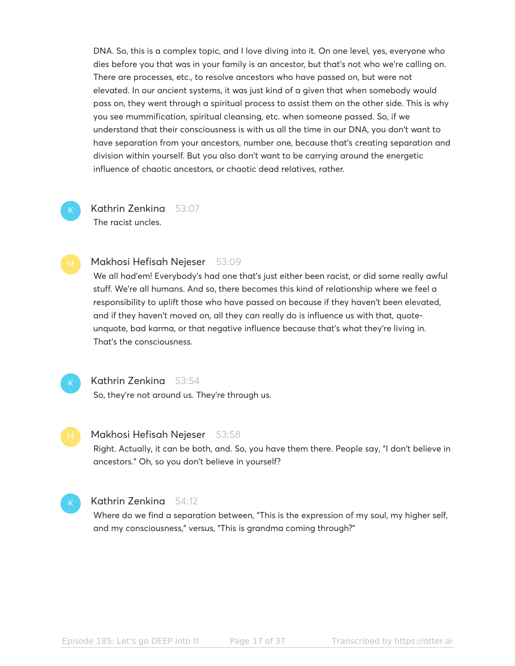DNA. So, this is a complex topic, and I love diving into it. On one level, yes, everyone who dies before you that was in your family is an ancestor, but that's not who we're calling on. There are processes, etc., to resolve ancestors who have passed on, but were not elevated. In our ancient systems, it was just kind of a given that when somebody would pass on, they went through a spiritual process to assist them on the other side. This is why you see mummification, spiritual cleansing, etc. when someone passed. So, if we understand that their consciousness is with us all the time in our DNA, you don't want to have separation from your ancestors, number one, because that's creating separation and division within yourself. But you also don't want to be carrying around the energetic influence of chaotic ancestors, or chaotic dead relatives, rather.

# K

Kathrin Zenkina 53:07 The racist uncles.

#### Makhosi Hefisah Nejeser 53:09

We all had'em! Everybody's had one that's just either been racist, or did some really awful stuff. We're all humans. And so, there becomes this kind of relationship where we feel a responsibility to uplift those who have passed on because if they haven't been elevated, and if they haven't moved on, all they can really do is influence us with that, quoteunquote, bad karma, or that negative influence because that's what they're living in. That's the consciousness.

# K

# Kathrin Zenkina 53:54

So, they're not around us. They're through us.

#### Makhosi Hefisah Nejeser 53:58

Right. Actually, it can be both, and. So, you have them there. People say, "I don't believe in ancestors." Oh, so you don't believe in yourself?

#### Kathrin Zenkina 54:12

Where do we find a separation between, "This is the expression of my soul, my higher self, and my consciousness," versus, "This is grandma coming through?"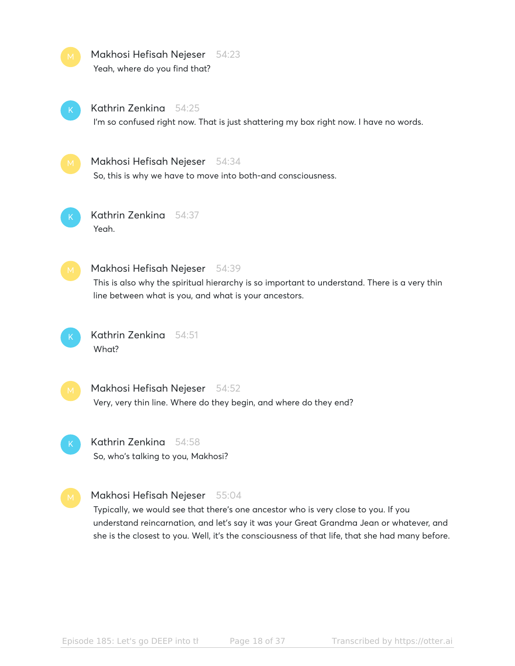| M  | Makhosi Hefisah Nejeser 54:23<br>Yeah, where do you find that?                                                                                                                                                 |
|----|----------------------------------------------------------------------------------------------------------------------------------------------------------------------------------------------------------------|
|    | Kathrin Zenkina<br>54:25<br>I'm so confused right now. That is just shattering my box right now. I have no words.                                                                                              |
| M. | Makhosi Hefisah Nejeser<br>-54:34<br>So, this is why we have to move into both-and consciousness.                                                                                                              |
|    | Kathrin Zenkina<br>- 54:37<br>Yeah.                                                                                                                                                                            |
|    | Makhosi Hefisah Nejeser<br>54:39<br>This is also why the spiritual hierarchy is so important to understand. There is a very thin<br>line between what is you, and what is your ancestors.                      |
|    | Kathrin Zenkina<br>54:51<br>What?                                                                                                                                                                              |
| M. | Makhosi Hefisah Nejeser<br>- 54:52<br>Very, very thin line. Where do they begin, and where do they end?                                                                                                        |
|    | Kathrin Zenkina<br>54:58<br>So, who's talking to you, Makhosi?                                                                                                                                                 |
|    | Makhosi Hefisah Nejeser 55:04<br>Typically, we would see that there's one ancestor who is very close to you. If you<br>understand reincarnation, and let's say it was your Great Grandma Jean or whatever, and |

she is the closest to you. Well, it's the consciousness of that life, that she had many before.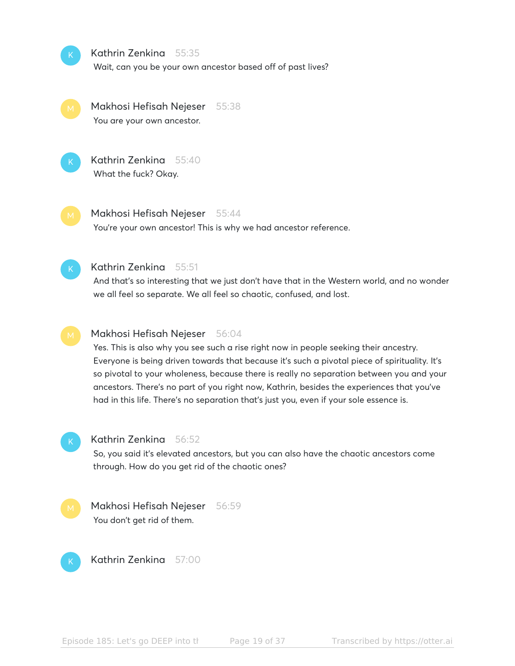

#### Kathrin Zenkina 55:35

Wait, can you be your own ancestor based off of past lives?

Makhosi Hefisah Nejeser 55:38 You are your own ancestor.



Kathrin Zenkina 55:40 What the fuck? Okay.

Makhosi Hefisah Nejeser 55:44

You're your own ancestor! This is why we had ancestor reference.



#### Kathrin Zenkina 55:51

And that's so interesting that we just don't have that in the Western world, and no wonder we all feel so separate. We all feel so chaotic, confused, and lost.

#### Makhosi Hefisah Nejeser 56:04

Yes. This is also why you see such a rise right now in people seeking their ancestry. Everyone is being driven towards that because it's such a pivotal piece of spirituality. It's so pivotal to your wholeness, because there is really no separation between you and your ancestors. There's no part of you right now, Kathrin, besides the experiences that you've had in this life. There's no separation that's just you, even if your sole essence is.



#### Kathrin Zenkina 56:52

So, you said it's elevated ancestors, but you can also have the chaotic ancestors come through. How do you get rid of the chaotic ones?

Makhosi Hefisah Nejeser 56:59 You don't get rid of them.



Kathrin Zenkina 57:00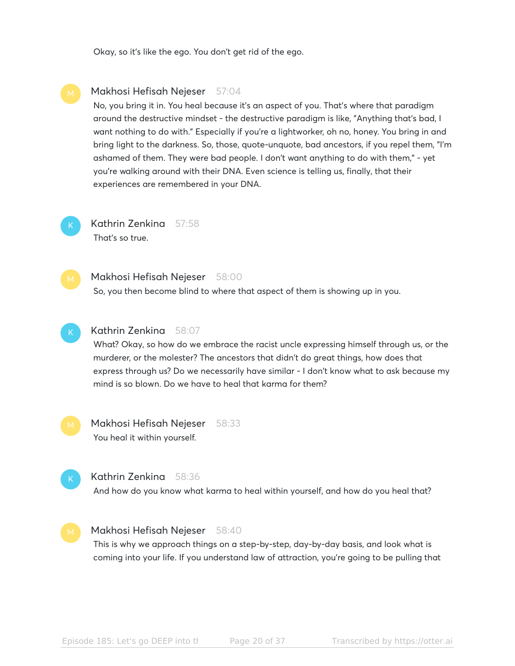Okay, so it's like the ego. You don't get rid of the ego.

#### Makhosi Hefisah Nejeser 57:04

No, you bring it in. You heal because it's an aspect of you. That's where that paradigm around the destructive mindset - the destructive paradigm is like, "Anything that's bad, I want nothing to do with." Especially if you're a lightworker, oh no, honey. You bring in and bring light to the darkness. So, those, quote-unquote, bad ancestors, if you repel them, "I'm ashamed of them. They were bad people. I don't want anything to do with them," - yet you're walking around with their DNA. Even science is telling us, finally, that their experiences are remembered in your DNA.



Kathrin Zenkina 57:58 That's so true.

Makhosi Hefisah Nejeser 58:00

So, you then become blind to where that aspect of them is showing up in you.



K

#### Kathrin Zenkina 58:07

What? Okay, so how do we embrace the racist uncle expressing himself through us, or the murderer, or the molester? The ancestors that didn't do great things, how does that express through us? Do we necessarily have similar - I don't know what to ask because my mind is so blown. Do we have to heal that karma for them?

Makhosi Hefisah Nejeser 58:33 You heal it within yourself.



And how do you know what karma to heal within yourself, and how do you heal that?

#### Makhosi Hefisah Nejeser 58:40

This is why we approach things on a step-by-step, day-by-day basis, and look what is coming into your life. If you understand law of attraction, you're going to be pulling that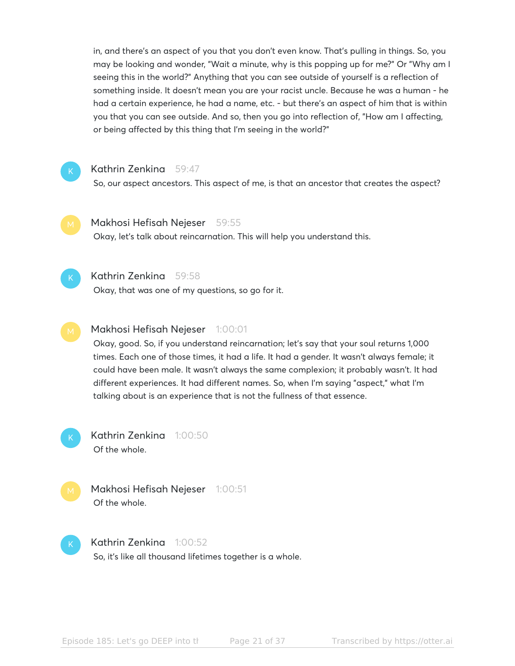in, and there's an aspect of you that you don't even know. That's pulling in things. So, you may be looking and wonder, "Wait a minute, why is this popping up for me?" Or "Why am I seeing this in the world?" Anything that you can see outside of yourself is a reflection of something inside. It doesn't mean you are your racist uncle. Because he was a human - he had a certain experience, he had a name, etc. - but there's an aspect of him that is within you that you can see outside. And so, then you go into reflection of, "How am I affecting, or being affected by this thing that I'm seeing in the world?"



### Kathrin Zenkina 59:47

So, our aspect ancestors. This aspect of me, is that an ancestor that creates the aspect?



### Makhosi Hefisah Nejeser 59:55

Okay, let's talk about reincarnation. This will help you understand this.



#### Kathrin Zenkina 59:58

Okay, that was one of my questions, so go for it.

### Makhosi Hefisah Nejeser 1:00:01

Okay, good. So, if you understand reincarnation; let's say that your soul returns 1,000 times. Each one of those times, it had a life. It had a gender. It wasn't always female; it could have been male. It wasn't always the same complexion; it probably wasn't. It had different experiences. It had different names. So, when I'm saying "aspect," what I'm talking about is an experience that is not the fullness of that essence.



Kathrin Zenkina 1:00:50 Of the whole.



Makhosi Hefisah Nejeser 1:00:51 Of the whole.

Kathrin Zenkina 1:00:52 So, it's like all thousand lifetimes together is a whole.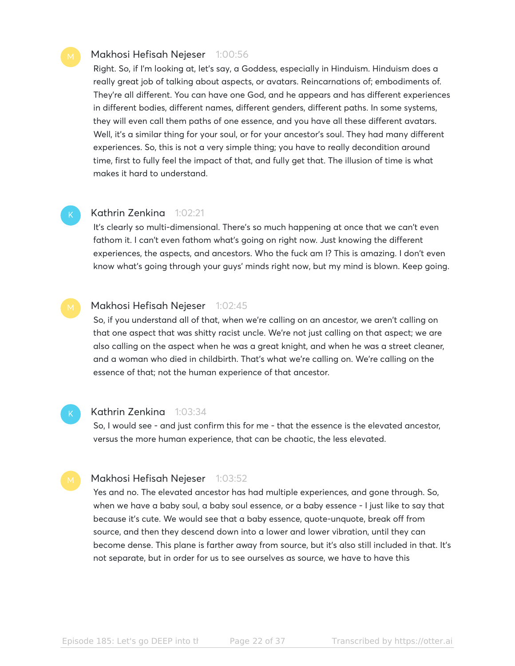#### Makhosi Hefisah Nejeser 1:00:56

Right. So, if I'm looking at, let's say, a Goddess, especially in Hinduism. Hinduism does a really great job of talking about aspects, or avatars. Reincarnations of; embodiments of. They're all different. You can have one God, and he appears and has different experiences in different bodies, different names, different genders, different paths. In some systems, they will even call them paths of one essence, and you have all these different avatars. Well, it's a similar thing for your soul, or for your ancestor's soul. They had many different experiences. So, this is not a very simple thing; you have to really decondition around time, first to fully feel the impact of that, and fully get that. The illusion of time is what makes it hard to understand.

### K

#### Kathrin Zenkina 1:02:21

It's clearly so multi-dimensional. There's so much happening at once that we can't even fathom it. I can't even fathom what's going on right now. Just knowing the different experiences, the aspects, and ancestors. Who the fuck am I? This is amazing. I don't even know what's going through your guys' minds right now, but my mind is blown. Keep going.

#### Makhosi Hefisah Nejeser 1:02:45

So, if you understand all of that, when we're calling on an ancestor, we aren't calling on that one aspect that was shitty racist uncle. We're not just calling on that aspect; we are also calling on the aspect when he was a great knight, and when he was a street cleaner, and a woman who died in childbirth. That's what we're calling on. We're calling on the essence of that; not the human experience of that ancestor.

#### Kathrin Zenkina 1:03:34

So, I would see - and just confirm this for me - that the essence is the elevated ancestor, versus the more human experience, that can be chaotic, the less elevated.

#### Makhosi Hefisah Nejeser 1:03:52

Yes and no. The elevated ancestor has had multiple experiences, and gone through. So, when we have a baby soul, a baby soul essence, or a baby essence - I just like to say that because it's cute. We would see that a baby essence, quote-unquote, break off from source, and then they descend down into a lower and lower vibration, until they can become dense. This plane is farther away from source, but it's also still included in that. It's not separate, but in order for us to see ourselves as source, we have to have this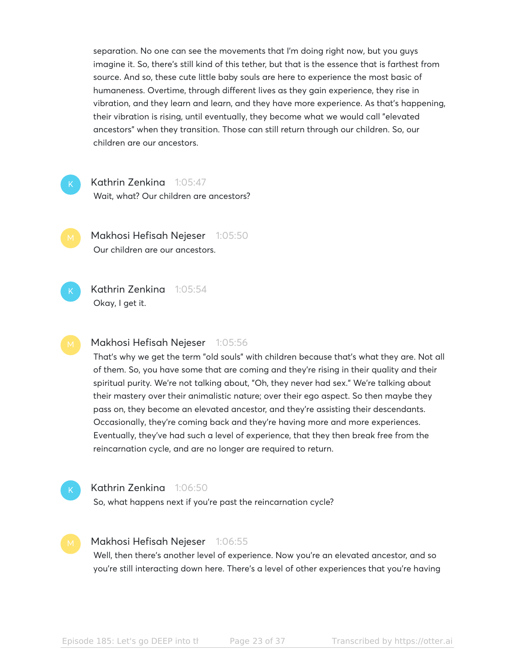separation. No one can see the movements that I'm doing right now, but you guys imagine it. So, there's still kind of this tether, but that is the essence that is farthest from source. And so, these cute little baby souls are here to experience the most basic of humaneness. Overtime, through different lives as they gain experience, they rise in vibration, and they learn and learn, and they have more experience. As that's happening, their vibration is rising, until eventually, they become what we would call "elevated ancestors" when they transition. Those can still return through our children. So, our children are our ancestors.



K

#### Kathrin Zenkina 1:05:47

Wait, what? Our children are ancestors?

Makhosi Hefisah Nejeser 1:05:50 Our children are our ancestors.

Kathrin Zenkina 1:05:54 Okay, I get it.

#### Makhosi Hefisah Nejeser 1:05:56

That's why we get the term "old souls" with children because that's what they are. Not all of them. So, you have some that are coming and they're rising in their quality and their spiritual purity. We're not talking about, "Oh, they never had sex." We're talking about their mastery over their animalistic nature; over their ego aspect. So then maybe they pass on, they become an elevated ancestor, and they're assisting their descendants. Occasionally, they're coming back and they're having more and more experiences. Eventually, they've had such a level of experience, that they then break free from the reincarnation cycle, and are no longer are required to return.



#### Kathrin Zenkina 1:06:50

So, what happens next if you're past the reincarnation cycle?

#### Makhosi Hefisah Nejeser 1:06:55

Well, then there's another level of experience. Now you're an elevated ancestor, and so you're still interacting down here. There's a level of other experiences that you're having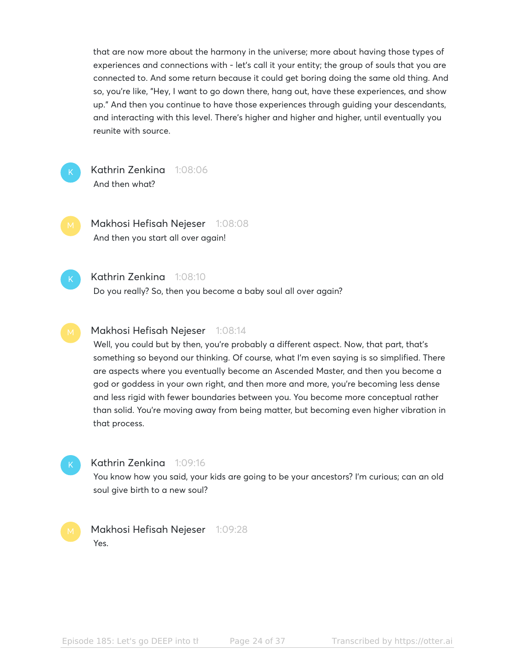that are now more about the harmony in the universe; more about having those types of experiences and connections with - let's call it your entity; the group of souls that you are connected to. And some return because it could get boring doing the same old thing. And so, you're like, "Hey, I want to go down there, hang out, have these experiences, and show up." And then you continue to have those experiences through guiding your descendants, and interacting with this level. There's higher and higher and higher, until eventually you reunite with source.



Kathrin Zenkina 1:08:06 And then what?

Makhosi Hefisah Nejeser 1:08:08 And then you start all over again!



#### Kathrin Zenkina 1:08:10

Do you really? So, then you become a baby soul all over again?

#### Makhosi Hefisah Nejeser 1:08:14

Well, you could but by then, you're probably a different aspect. Now, that part, that's something so beyond our thinking. Of course, what I'm even saying is so simplified. There are aspects where you eventually become an Ascended Master, and then you become a god or goddess in your own right, and then more and more, you're becoming less dense and less rigid with fewer boundaries between you. You become more conceptual rather than solid. You're moving away from being matter, but becoming even higher vibration in that process.

#### Kathrin Zenkina 1:09:16

You know how you said, your kids are going to be your ancestors? I'm curious; can an old soul give birth to a new soul?

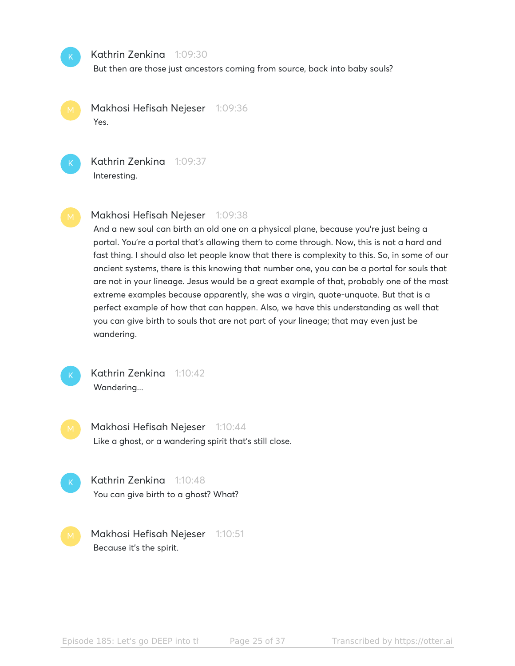

#### Kathrin Zenkina 1:09:30

But then are those just ancestors coming from source, back into baby souls?

Makhosi Hefisah Nejeser 1:09:36 Yes.



Kathrin Zenkina 1:09:37 Interesting.

#### Makhosi Hefisah Nejeser 1:09:38

And a new soul can birth an old one on a physical plane, because you're just being a portal. You're a portal that's allowing them to come through. Now, this is not a hard and fast thing. I should also let people know that there is complexity to this. So, in some of our ancient systems, there is this knowing that number one, you can be a portal for souls that are not in your lineage. Jesus would be a great example of that, probably one of the most extreme examples because apparently, she was a virgin, quote-unquote. But that is a perfect example of how that can happen. Also, we have this understanding as well that you can give birth to souls that are not part of your lineage; that may even just be wandering.



Kathrin Zenkina 1:10:42 Wandering...

Makhosi Hefisah Nejeser 1:10:44 Like a ghost, or a wandering spirit that's still close.

- Kathrin Zenkina 1:10:48 You can give birth to a ghost? What?
- Makhosi Hefisah Nejeser 1:10:51 Because it's the spirit.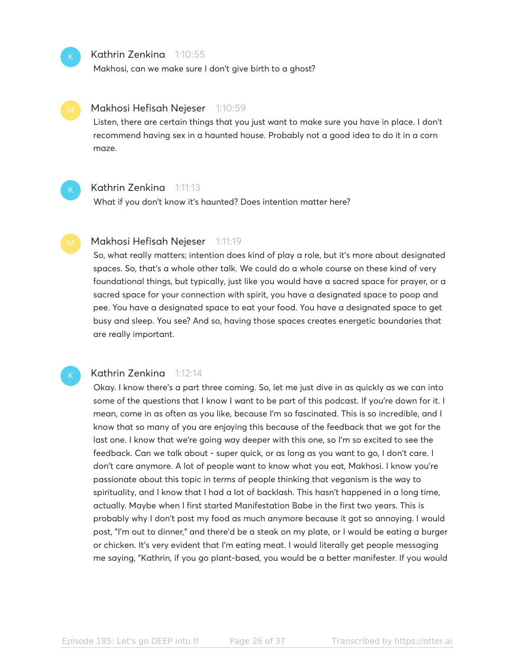

#### Kathrin Zenkina 1:10:55

Makhosi, can we make sure I don't give birth to a ghost?

#### Makhosi Hefisah Nejeser 1:10:59

Listen, there are certain things that you just want to make sure you have in place. I don't recommend having sex in a haunted house. Probably not a good idea to do it in a corn maze.



K

#### Kathrin Zenkina 1:11:13

What if you don't know it's haunted? Does intention matter here?

#### Makhosi Hefisah Nejeser 1:11:19

So, what really matters; intention does kind of play a role, but it's more about designated spaces. So, that's a whole other talk. We could do a whole course on these kind of very foundational things, but typically, just like you would have a sacred space for prayer, or a sacred space for your connection with spirit, you have a designated space to poop and pee. You have a designated space to eat your food. You have a designated space to get busy and sleep. You see? And so, having those spaces creates energetic boundaries that are really important.

#### Kathrin Zenkina 1:12:14

Okay. I know there's a part three coming. So, let me just dive in as quickly as we can into some of the questions that I know I want to be part of this podcast. If you're down for it. I mean, come in as often as you like, because I'm so fascinated. This is so incredible, and I know that so many of you are enjoying this because of the feedback that we got for the last one. I know that we're going way deeper with this one, so I'm so excited to see the feedback. Can we talk about - super quick, or as long as you want to go, I don't care. I don't care anymore. A lot of people want to know what you eat, Makhosi. I know you're passionate about this topic in terms of people thinking that veganism is the way to spirituality, and I know that I had a lot of backlash. This hasn't happened in a long time, actually. Maybe when I first started Manifestation Babe in the first two years. This is probably why I don't post my food as much anymore because it got so annoying. I would post, "I'm out to dinner," and there'd be a steak on my plate, or I would be eating a burger or chicken. It's very evident that I'm eating meat. I would literally get people messaging me saying, "Kathrin, if you go plant-based, you would be a better manifester. If you would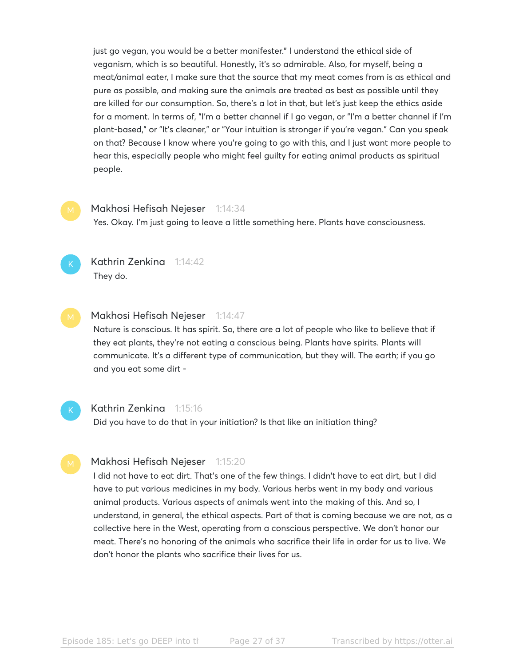just go vegan, you would be a better manifester." I understand the ethical side of veganism, which is so beautiful. Honestly, it's so admirable. Also, for myself, being a meat/animal eater, I make sure that the source that my meat comes from is as ethical and pure as possible, and making sure the animals are treated as best as possible until they are killed for our consumption. So, there's a lot in that, but let's just keep the ethics aside for a moment. In terms of, "I'm a better channel if I go vegan, or "I'm a better channel if I'm plant-based," or "It's cleaner," or "Your intuition is stronger if you're vegan." Can you speak on that? Because I know where you're going to go with this, and I just want more people to hear this, especially people who might feel guilty for eating animal products as spiritual people.

#### Makhosi Hefisah Nejeser 1:14:34

Yes. Okay. I'm just going to leave a little something here. Plants have consciousness.



#### Kathrin Zenkina 1:14:42 They do.

Makhosi Hefisah Nejeser 1:14:47

Nature is conscious. It has spirit. So, there are a lot of people who like to believe that if they eat plants, they're not eating a conscious being. Plants have spirits. Plants will communicate. It's a different type of communication, but they will. The earth; if you go and you eat some dirt -



#### Kathrin Zenkina 1:15:16

Did you have to do that in your initiation? Is that like an initiation thing?

#### Makhosi Hefisah Nejeser 1:15:20

I did not have to eat dirt. That's one of the few things. I didn't have to eat dirt, but I did have to put various medicines in my body. Various herbs went in my body and various animal products. Various aspects of animals went into the making of this. And so, I understand, in general, the ethical aspects. Part of that is coming because we are not, as a collective here in the West, operating from a conscious perspective. We don't honor our meat. There's no honoring of the animals who sacrifice their life in order for us to live. We don't honor the plants who sacrifice their lives for us.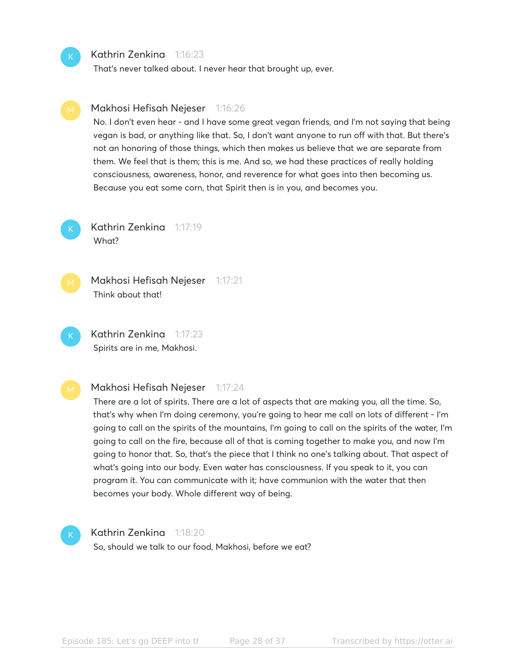#### Kathrin Zenkina 1:16:23

Makhosi Hefisah Nejeser 1:16:26

That's never talked about. I never hear that brought up, ever.

# them. We feel that is them; this is me. And so, we had these practices of really holding consciousness, awareness, honor, and reverence for what goes into then becoming us. Because you eat some corn, that Spirit then is in you, and becomes you. Kathrin Zenkina 1:17:19 What? K

Makhosi Hefisah Nejeser 1:17:21 Think about that!

Kathrin Zenkina 1:17:23 Spirits are in me, Makhosi. K

### Makhosi Hefisah Nejeser 1:17:24

There are a lot of spirits. There are a lot of aspects that are making you, all the time. So, that's why when I'm doing ceremony, you're going to hear me call on lots of different - I'm going to call on the spirits of the mountains, I'm going to call on the spirits of the water, I'm going to call on the fire, because all of that is coming together to make you, and now I'm going to honor that. So, that's the piece that I think no one's talking about. That aspect of what's going into our body. Even water has consciousness. If you speak to it, you can program it. You can communicate with it; have communion with the water that then becomes your body. Whole different way of being.

No. I don't even hear - and I have some great vegan friends, and I'm not saying that being vegan is bad, or anything like that. So, I don't want anyone to run off with that. But there's not an honoring of those things, which then makes us believe that we are separate from

### K

#### Kathrin Zenkina 1:18:20

So, should we talk to our food, Makhosi, before we eat?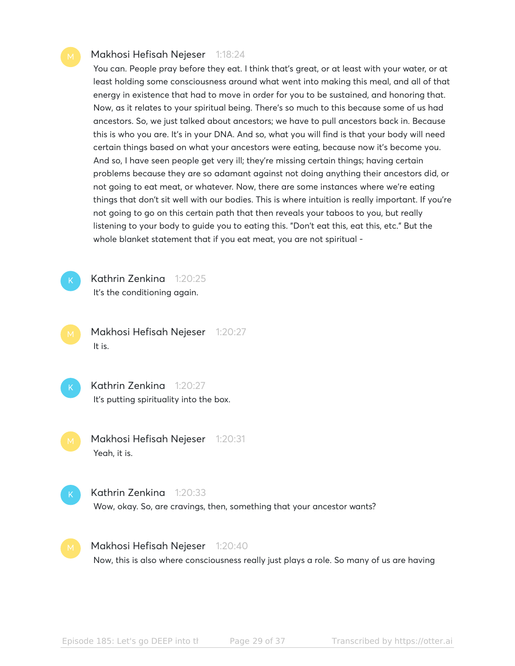#### Makhosi Hefisah Nejeser 1:18:24

You can. People pray before they eat. I think that's great, or at least with your water, or at least holding some consciousness around what went into making this meal, and all of that energy in existence that had to move in order for you to be sustained, and honoring that. Now, as it relates to your spiritual being. There's so much to this because some of us had ancestors. So, we just talked about ancestors; we have to pull ancestors back in. Because this is who you are. It's in your DNA. And so, what you will find is that your body will need certain things based on what your ancestors were eating, because now it's become you. And so, I have seen people get very ill; they're missing certain things; having certain problems because they are so adamant against not doing anything their ancestors did, or not going to eat meat, or whatever. Now, there are some instances where we're eating things that don't sit well with our bodies. This is where intuition is really important. If you're not going to go on this certain path that then reveals your taboos to you, but really listening to your body to guide you to eating this. "Don't eat this, eat this, etc." But the whole blanket statement that if you eat meat, you are not spiritual -



Kathrin Zenkina 1:20:25

It's the conditioning again.

Makhosi Hefisah Nejeser 1:20:27 It is.

Kathrin Zenkina 1:20:27 It's putting spirituality into the box.

Makhosi Hefisah Nejeser 1:20:31 Yeah, it is.

Kathrin Zenkina 1:20:33 Wow, okay. So, are cravings, then, something that your ancestor wants?

Makhosi Hefisah Nejeser 1:20:40 Now, this is also where consciousness really just plays a role. So many of us are having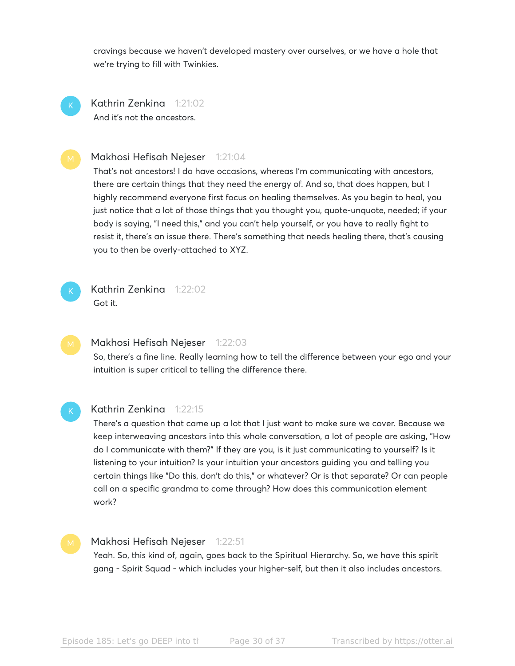cravings because we haven't developed mastery over ourselves, or we have a hole that we're trying to fill with Twinkies.

Kathrin Zenkina 1:21:02 And it's not the ancestors. K

#### Makhosi Hefisah Nejeser 1:21:04

That's not ancestors! I do have occasions, whereas I'm communicating with ancestors, there are certain things that they need the energy of. And so, that does happen, but I highly recommend everyone first focus on healing themselves. As you begin to heal, you just notice that a lot of those things that you thought you, quote-unquote, needed; if your body is saying, "I need this," and you can't help yourself, or you have to really fight to resist it, there's an issue there. There's something that needs healing there, that's causing you to then be overly-attached to XYZ.



Kathrin Zenkina 1:22:02 Got it.

#### Makhosi Hefisah Nejeser 1:22:03

So, there's a fine line. Really learning how to tell the difference between your ego and your intuition is super critical to telling the difference there.

#### Kathrin Zenkina 1:22:15

There's a question that came up a lot that I just want to make sure we cover. Because we keep interweaving ancestors into this whole conversation, a lot of people are asking, "How do I communicate with them?" If they are you, is it just communicating to yourself? Is it listening to your intuition? Is your intuition your ancestors guiding you and telling you certain things like "Do this, don't do this," or whatever? Or is that separate? Or can people call on a specific grandma to come through? How does this communication element work?

#### Makhosi Hefisah Nejeser 1:22:51

Yeah. So, this kind of, again, goes back to the Spiritual Hierarchy. So, we have this spirit gang - Spirit Squad - which includes your higher-self, but then it also includes ancestors.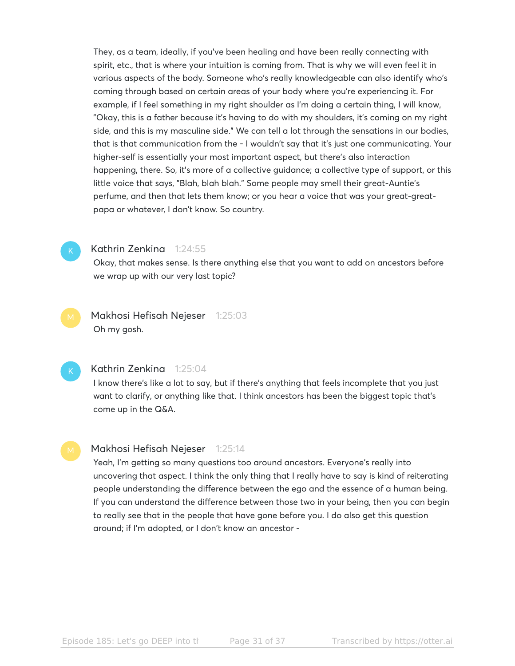They, as a team, ideally, if you've been healing and have been really connecting with spirit, etc., that is where your intuition is coming from. That is why we will even feel it in various aspects of the body. Someone who's really knowledgeable can also identify who's coming through based on certain areas of your body where you're experiencing it. For example, if I feel something in my right shoulder as I'm doing a certain thing, I will know, "Okay, this is a father because it's having to do with my shoulders, it's coming on my right side, and this is my masculine side." We can tell a lot through the sensations in our bodies, that is that communication from the - I wouldn't say that it's just one communicating. Your higher-self is essentially your most important aspect, but there's also interaction happening, there. So, it's more of a collective guidance; a collective type of support, or this little voice that says, "Blah, blah blah." Some people may smell their great-Auntie's perfume, and then that lets them know; or you hear a voice that was your great-greatpapa or whatever, I don't know. So country.



#### Kathrin Zenkina 1:24:55

Okay, that makes sense. Is there anything else that you want to add on ancestors before we wrap up with our very last topic?

Makhosi Hefisah Nejeser 1:25:03 Oh my gosh.

#### Kathrin Zenkina 1:25:04

I know there's like a lot to say, but if there's anything that feels incomplete that you just want to clarify, or anything like that. I think ancestors has been the biggest topic that's come up in the Q&A.

#### Makhosi Hefisah Nejeser 1:25:14

Yeah, I'm getting so many questions too around ancestors. Everyone's really into uncovering that aspect. I think the only thing that I really have to say is kind of reiterating people understanding the difference between the ego and the essence of a human being. If you can understand the difference between those two in your being, then you can begin to really see that in the people that have gone before you. I do also get this question around; if I'm adopted, or I don't know an ancestor -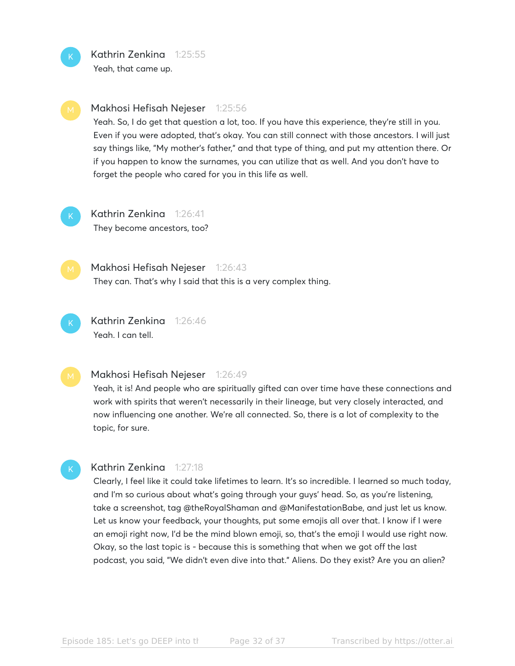

Kathrin Zenkina 1:25:55 Yeah, that came up.



#### Makhosi Hefisah Nejeser 1:25:56

Yeah. So, I do get that question a lot, too. If you have this experience, they're still in you. Even if you were adopted, that's okay. You can still connect with those ancestors. I will just say things like, "My mother's father," and that type of thing, and put my attention there. Or if you happen to know the surnames, you can utilize that as well. And you don't have to forget the people who cared for you in this life as well.



Kathrin Zenkina 1:26:41 They become ancestors, too?



K

Makhosi Hefisah Nejeser 1:26:43 They can. That's why I said that this is a very complex thing.

Kathrin Zenkina 1:26:46 Yeah. I can tell.

#### Makhosi Hefisah Nejeser 1:26:49

Yeah, it is! And people who are spiritually gifted can over time have these connections and work with spirits that weren't necessarily in their lineage, but very closely interacted, and now influencing one another. We're all connected. So, there is a lot of complexity to the topic, for sure.

#### Kathrin Zenkina 1:27:18

Clearly, I feel like it could take lifetimes to learn. It's so incredible. I learned so much today, and I'm so curious about what's going through your guys' head. So, as you're listening, take a screenshot, tag @theRoyalShaman and @ManifestationBabe, and just let us know. Let us know your feedback, your thoughts, put some emojis all over that. I know if I were an emoji right now, I'd be the mind blown emoji, so, that's the emoji I would use right now. Okay, so the last topic is - because this is something that when we got off the last podcast, you said, "We didn't even dive into that." Aliens. Do they exist? Are you an alien?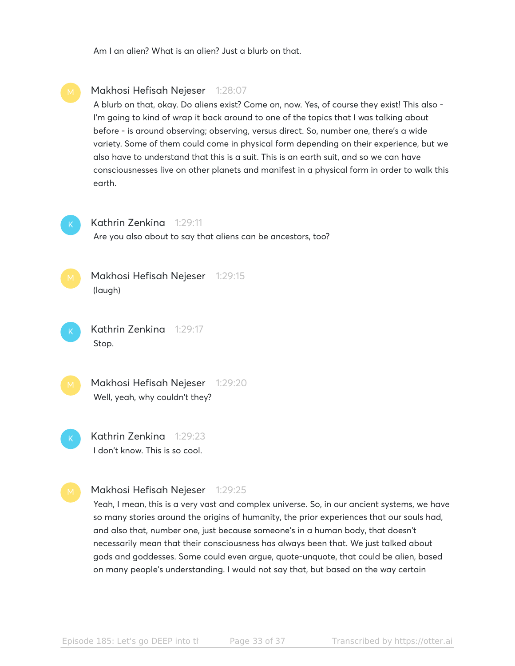Am I an alien? What is an alien? Just a blurb on that.



and also that, number one, just because someone's in a human body, that doesn't necessarily mean that their consciousness has always been that. We just talked about gods and goddesses. Some could even argue, quote-unquote, that could be alien, based on many people's understanding. I would not say that, but based on the way certain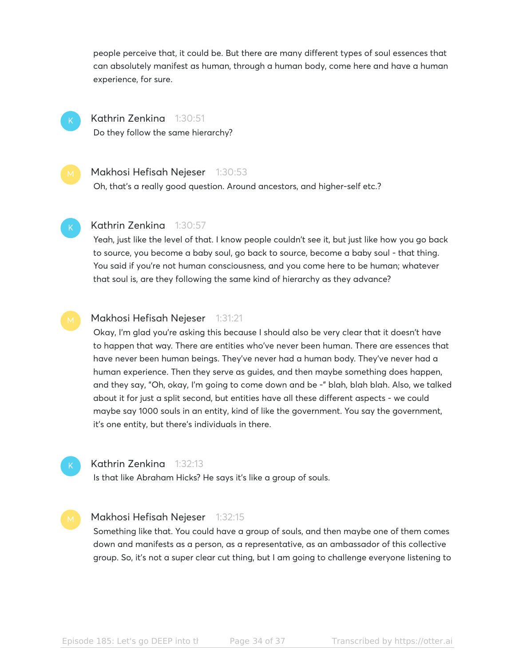people perceive that, it could be. But there are many different types of soul essences that can absolutely manifest as human, through a human body, come here and have a human experience, for sure.

K

Kathrin Zenkina 1:30:51

Do they follow the same hierarchy?

#### Makhosi Hefisah Nejeser 1:30:53

Oh, that's a really good question. Around ancestors, and higher-self etc.?

#### Kathrin Zenkina 1:30:57

Yeah, just like the level of that. I know people couldn't see it, but just like how you go back to source, you become a baby soul, go back to source, become a baby soul - that thing. You said if you're not human consciousness, and you come here to be human; whatever that soul is, are they following the same kind of hierarchy as they advance?

#### Makhosi Hefisah Nejeser 1:31:21

Okay, I'm glad you're asking this because I should also be very clear that it doesn't have to happen that way. There are entities who've never been human. There are essences that have never been human beings. They've never had a human body. They've never had a human experience. Then they serve as guides, and then maybe something does happen, and they say, "Oh, okay, I'm going to come down and be -" blah, blah blah. Also, we talked about it for just a split second, but entities have all these different aspects - we could maybe say 1000 souls in an entity, kind of like the government. You say the government, it's one entity, but there's individuals in there.

#### Kathrin Zenkina 1:32:13

Is that like Abraham Hicks? He says it's like a group of souls.

#### Makhosi Hefisah Nejeser 1:32:15

Something like that. You could have a group of souls, and then maybe one of them comes down and manifests as a person, as a representative, as an ambassador of this collective group. So, it's not a super clear cut thing, but I am going to challenge everyone listening to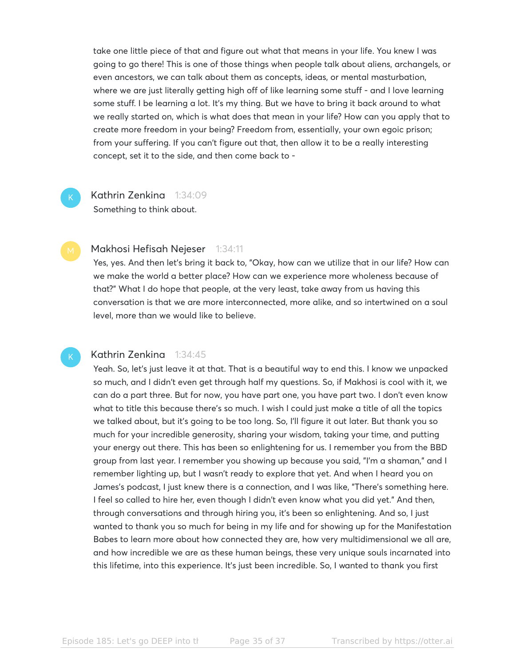take one little piece of that and figure out what that means in your life. You knew I was going to go there! This is one of those things when people talk about aliens, archangels, or even ancestors, we can talk about them as concepts, ideas, or mental masturbation, where we are just literally getting high off of like learning some stuff - and I love learning some stuff. I be learning a lot. It's my thing. But we have to bring it back around to what we really started on, which is what does that mean in your life? How can you apply that to create more freedom in your being? Freedom from, essentially, your own egoic prison; from your suffering. If you can't figure out that, then allow it to be a really interesting concept, set it to the side, and then come back to -

### Kathrin Zenkina 1:34:09

Something to think about.

#### Makhosi Hefisah Nejeser 1:34:11

Yes, yes. And then let's bring it back to, "Okay, how can we utilize that in our life? How can we make the world a better place? How can we experience more wholeness because of that?" What I do hope that people, at the very least, take away from us having this conversation is that we are more interconnected, more alike, and so intertwined on a soul level, more than we would like to believe.

K

K

#### Kathrin Zenkina 1:34:45

Yeah. So, let's just leave it at that. That is a beautiful way to end this. I know we unpacked so much, and I didn't even get through half my questions. So, if Makhosi is cool with it, we can do a part three. But for now, you have part one, you have part two. I don't even know what to title this because there's so much. I wish I could just make a title of all the topics we talked about, but it's going to be too long. So, I'll figure it out later. But thank you so much for your incredible generosity, sharing your wisdom, taking your time, and putting your energy out there. This has been so enlightening for us. I remember you from the BBD group from last year. I remember you showing up because you said, "I'm a shaman," and I remember lighting up, but I wasn't ready to explore that yet. And when I heard you on James's podcast, I just knew there is a connection, and I was like, "There's something here. I feel so called to hire her, even though I didn't even know what you did yet." And then, through conversations and through hiring you, it's been so enlightening. And so, I just wanted to thank you so much for being in my life and for showing up for the Manifestation Babes to learn more about how connected they are, how very multidimensional we all are, and how incredible we are as these human beings, these very unique souls incarnated into this lifetime, into this experience. It's just been incredible. So, I wanted to thank you first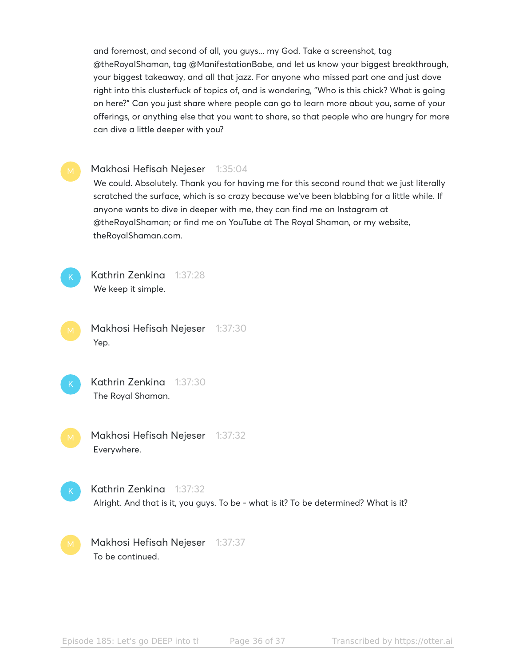and foremost, and second of all, you guys... my God. Take a screenshot, tag @theRoyalShaman, tag @ManifestationBabe, and let us know your biggest breakthrough, your biggest takeaway, and all that jazz. For anyone who missed part one and just dove right into this clusterfuck of topics of, and is wondering, "Who is this chick? What is going on here?" Can you just share where people can go to learn more about you, some of your offerings, or anything else that you want to share, so that people who are hungry for more can dive a little deeper with you?

#### Makhosi Hefisah Nejeser 1:35:04

We could. Absolutely. Thank you for having me for this second round that we just literally scratched the surface, which is so crazy because we've been blabbing for a little while. If anyone wants to dive in deeper with me, they can find me on Instagram at @theRoyalShaman; or find me on YouTube at The Royal Shaman, or my website, theRoyalShaman.com.



Kathrin Zenkina 1:37:28 We keep it simple.

Makhosi Hefisah Nejeser 1:37:30 Yep.

Kathrin Zenkina 1:37:30 The Royal Shaman.

Makhosi Hefisah Nejeser 1:37:32 Everywhere.

Kathrin Zenkina 1:37:32 Alright. And that is it, you guys. To be - what is it? To be determined? What is it?

Makhosi Hefisah Nejeser 1:37:37 To be continued.